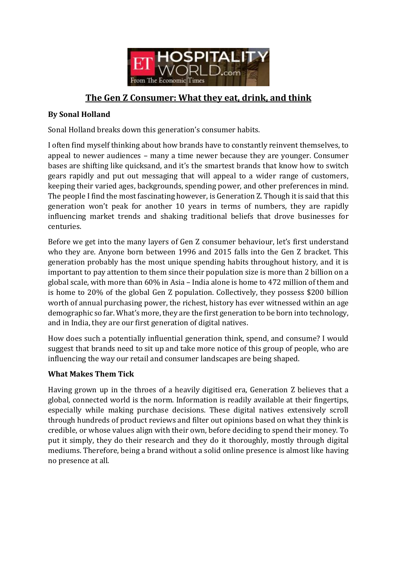

# **The Gen Z Consumer: What they eat, drink, and think**

### **By Sonal Holland**

Sonal Holland breaks down this generation's consumer habits.

I often find myself thinking about how brands have to constantly reinvent themselves, to appeal to newer audiences – many a time newer because they are younger. Consumer bases are shifting like quicksand, and it's the smartest brands that know how to switch gears rapidly and put out messaging that will appeal to a wider range of customers, keeping their varied ages, backgrounds, spending power, and other preferences in mind. The people I find the most fascinating however, is Generation Z. Though it is said that this generation won't peak for another 10 years in terms of numbers, they are rapidly influencing market trends and shaking traditional beliefs that drove businesses for centuries.

Before we get into the many layers of Gen Z consumer behaviour, let's first understand who they are. Anyone born between 1996 and 2015 falls into the Gen Z bracket. This generation probably has the most unique spending habits throughout history, and it is important to pay attention to them since their population size is more than 2 billion on a global scale, with more than 60% in Asia – India alone is home to 472 million of them and is home to 20% of the global Gen Z population. Collectively, they possess \$200 billion worth of annual purchasing power, the richest, history has ever witnessed within an age demographic so far. What's more, they are the first generation to be born into technology, and in India, they are our first generation of digital natives.

How does such a potentially influential generation think, spend, and consume? I would suggest that brands need to sit up and take more notice of this group of people, who are influencing the way our retail and consumer landscapes are being shaped.

#### **What Makes Them Tick**

Having grown up in the throes of a heavily digitised era, Generation Z believes that a global, connected world is the norm. Information is readily available at their fingertips, especially while making purchase decisions. These digital natives extensively scroll through hundreds of product reviews and filter out opinions based on what they think is credible, or whose values align with their own, before deciding to spend their money. To put it simply, they do their research and they do it thoroughly, mostly through digital mediums. Therefore, being a brand without a solid online presence is almost like having no presence at all.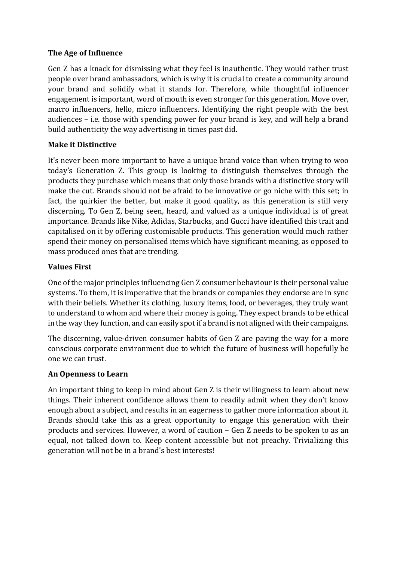### **The Age of Influence**

Gen Z has a knack for dismissing what they feel is inauthentic. They would rather trust people over brand ambassadors, which is why it is crucial to create a community around your brand and solidify what it stands for. Therefore, while thoughtful influencer engagement is important, word of mouth is even stronger for this generation. Move over, macro influencers, hello, micro influencers. Identifying the right people with the best audiences – i.e. those with spending power for your brand is key, and will help a brand build authenticity the way advertising in times past did.

# **Make it Distinctive**

It's never been more important to have a unique brand voice than when trying to woo today's Generation Z. This group is looking to distinguish themselves through the products they purchase which means that only those brands with a distinctive story will make the cut. Brands should not be afraid to be innovative or go niche with this set; in fact, the quirkier the better, but make it good quality, as this generation is still very discerning. To Gen Z, being seen, heard, and valued as a unique individual is of great importance. Brands like Nike, Adidas, Starbucks, and Gucci have identified this trait and capitalised on it by offering customisable products. This generation would much rather spend their money on personalised items which have significant meaning, as opposed to mass produced ones that are trending.

# **Values First**

One of the major principles influencing Gen Z consumer behaviour is their personal value systems. To them, it is imperative that the brands or companies they endorse are in sync with their beliefs. Whether its clothing, luxury items, food, or beverages, they truly want to understand to whom and where their money is going. They expect brands to be ethical in the way they function, and can easily spot if a brand is not aligned with their campaigns.

The discerning, value-driven consumer habits of Gen Z are paving the way for a more conscious corporate environment due to which the future of business will hopefully be one we can trust.

# **An Openness to Learn**

An important thing to keep in mind about Gen Z is their willingness to learn about new things. Their inherent confidence allows them to readily admit when they don't know enough about a subject, and results in an eagerness to gather more information about it. Brands should take this as a great opportunity to engage this generation with their products and services. However, a word of caution – Gen Z needs to be spoken to as an equal, not talked down to. Keep content accessible but not preachy. Trivializing this generation will not be in a brand's best interests!